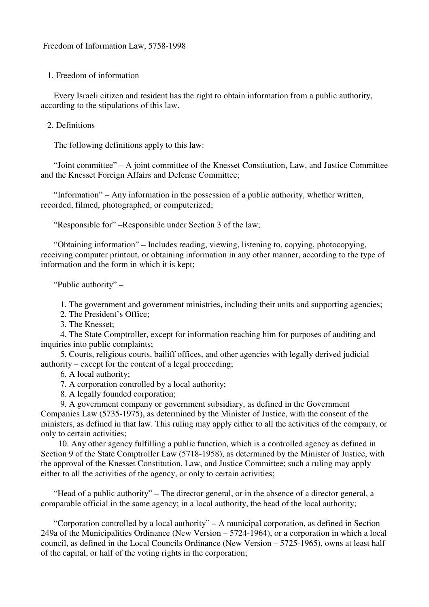1. Freedom of information

 Every Israeli citizen and resident has the right to obtain information from a public authority, according to the stipulations of this law.

### 2. Definitions

The following definitions apply to this law:

 "Joint committee" – A joint committee of the Knesset Constitution, Law, and Justice Committee and the Knesset Foreign Affairs and Defense Committee;

 "Information" – Any information in the possession of a public authority, whether written, recorded, filmed, photographed, or computerized;

"Responsible for" –Responsible under Section 3 of the law;

 "Obtaining information" – Includes reading, viewing, listening to, copying, photocopying, receiving computer printout, or obtaining information in any other manner, according to the type of information and the form in which it is kept;

"Public authority" –

1. The government and government ministries, including their units and supporting agencies;

2. The President's Office;

3. The Knesset;

 4. The State Comptroller, except for information reaching him for purposes of auditing and inquiries into public complaints;

 5. Courts, religious courts, bailiff offices, and other agencies with legally derived judicial authority – except for the content of a legal proceeding;

6. A local authority;

7. A corporation controlled by a local authority;

8. A legally founded corporation;

 9. A government company or government subsidiary, as defined in the Government Companies Law (5735-1975), as determined by the Minister of Justice, with the consent of the ministers, as defined in that law. This ruling may apply either to all the activities of the company, or only to certain activities;

 10. Any other agency fulfilling a public function, which is a controlled agency as defined in Section 9 of the State Comptroller Law (5718-1958), as determined by the Minister of Justice, with the approval of the Knesset Constitution, Law, and Justice Committee; such a ruling may apply either to all the activities of the agency, or only to certain activities;

 "Head of a public authority" – The director general, or in the absence of a director general, a comparable official in the same agency; in a local authority, the head of the local authority;

 "Corporation controlled by a local authority" – A municipal corporation, as defined in Section 249a of the Municipalities Ordinance (New Version – 5724-1964), or a corporation in which a local council, as defined in the Local Councils Ordinance (New Version – 5725-1965), owns at least half of the capital, or half of the voting rights in the corporation;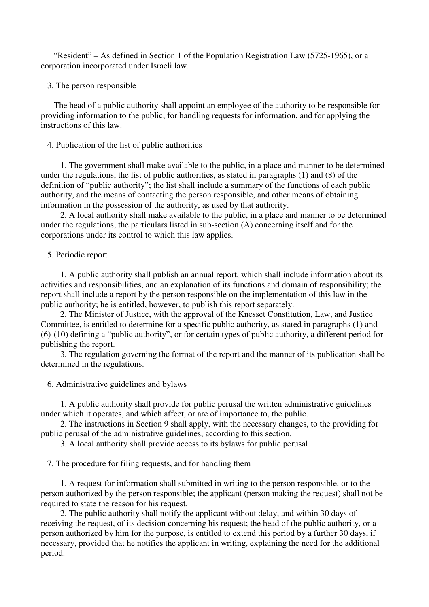"Resident" – As defined in Section 1 of the Population Registration Law (5725-1965), or a corporation incorporated under Israeli law.

3. The person responsible

 The head of a public authority shall appoint an employee of the authority to be responsible for providing information to the public, for handling requests for information, and for applying the instructions of this law.

# 4. Publication of the list of public authorities

 1. The government shall make available to the public, in a place and manner to be determined under the regulations, the list of public authorities, as stated in paragraphs (1) and (8) of the definition of "public authority"; the list shall include a summary of the functions of each public authority, and the means of contacting the person responsible, and other means of obtaining information in the possession of the authority, as used by that authority.

 2. A local authority shall make available to the public, in a place and manner to be determined under the regulations, the particulars listed in sub-section (A) concerning itself and for the corporations under its control to which this law applies.

# 5. Periodic report

 1. A public authority shall publish an annual report, which shall include information about its activities and responsibilities, and an explanation of its functions and domain of responsibility; the report shall include a report by the person responsible on the implementation of this law in the public authority; he is entitled, however, to publish this report separately.

 2. The Minister of Justice, with the approval of the Knesset Constitution, Law, and Justice Committee, is entitled to determine for a specific public authority, as stated in paragraphs (1) and (6)-(10) defining a "public authority", or for certain types of public authority, a different period for publishing the report.

 3. The regulation governing the format of the report and the manner of its publication shall be determined in the regulations.

6. Administrative guidelines and bylaws

 1. A public authority shall provide for public perusal the written administrative guidelines under which it operates, and which affect, or are of importance to, the public.

 2. The instructions in Section 9 shall apply, with the necessary changes, to the providing for public perusal of the administrative guidelines, according to this section.

3. A local authority shall provide access to its bylaws for public perusal.

7. The procedure for filing requests, and for handling them

 1. A request for information shall submitted in writing to the person responsible, or to the person authorized by the person responsible; the applicant (person making the request) shall not be required to state the reason for his request.

 2. The public authority shall notify the applicant without delay, and within 30 days of receiving the request, of its decision concerning his request; the head of the public authority, or a person authorized by him for the purpose, is entitled to extend this period by a further 30 days, if necessary, provided that he notifies the applicant in writing, explaining the need for the additional period.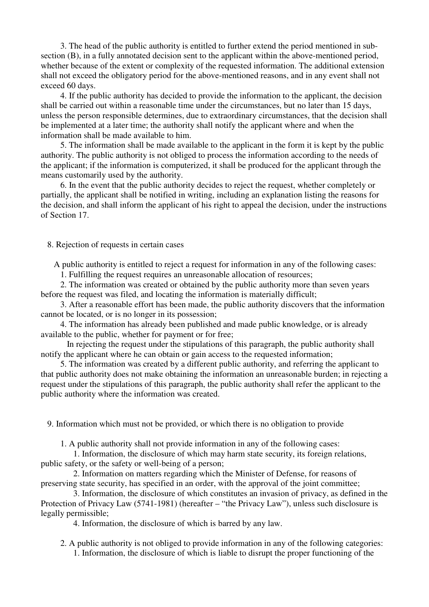3. The head of the public authority is entitled to further extend the period mentioned in subsection (B), in a fully annotated decision sent to the applicant within the above-mentioned period, whether because of the extent or complexity of the requested information. The additional extension shall not exceed the obligatory period for the above-mentioned reasons, and in any event shall not exceed 60 days.

 4. If the public authority has decided to provide the information to the applicant, the decision shall be carried out within a reasonable time under the circumstances, but no later than 15 days, unless the person responsible determines, due to extraordinary circumstances, that the decision shall be implemented at a later time; the authority shall notify the applicant where and when the information shall be made available to him.

 5. The information shall be made available to the applicant in the form it is kept by the public authority. The public authority is not obliged to process the information according to the needs of the applicant; if the information is computerized, it shall be produced for the applicant through the means customarily used by the authority.

 6. In the event that the public authority decides to reject the request, whether completely or partially, the applicant shall be notified in writing, including an explanation listing the reasons for the decision, and shall inform the applicant of his right to appeal the decision, under the instructions of Section 17.

#### 8. Rejection of requests in certain cases

A public authority is entitled to reject a request for information in any of the following cases:

1. Fulfilling the request requires an unreasonable allocation of resources;

 2. The information was created or obtained by the public authority more than seven years before the request was filed, and locating the information is materially difficult;

 3. After a reasonable effort has been made, the public authority discovers that the information cannot be located, or is no longer in its possession;

 4. The information has already been published and made public knowledge, or is already available to the public, whether for payment or for free;

 In rejecting the request under the stipulations of this paragraph, the public authority shall notify the applicant where he can obtain or gain access to the requested information;

 5. The information was created by a different public authority, and referring the applicant to that public authority does not make obtaining the information an unreasonable burden; in rejecting a request under the stipulations of this paragraph, the public authority shall refer the applicant to the public authority where the information was created.

9. Information which must not be provided, or which there is no obligation to provide

1. A public authority shall not provide information in any of the following cases:

 1. Information, the disclosure of which may harm state security, its foreign relations, public safety, or the safety or well-being of a person;

 2. Information on matters regarding which the Minister of Defense, for reasons of preserving state security, has specified in an order, with the approval of the joint committee;

 3. Information, the disclosure of which constitutes an invasion of privacy, as defined in the Protection of Privacy Law (5741-1981) (hereafter – "the Privacy Law"), unless such disclosure is legally permissible;

4. Information, the disclosure of which is barred by any law.

 2. A public authority is not obliged to provide information in any of the following categories: 1. Information, the disclosure of which is liable to disrupt the proper functioning of the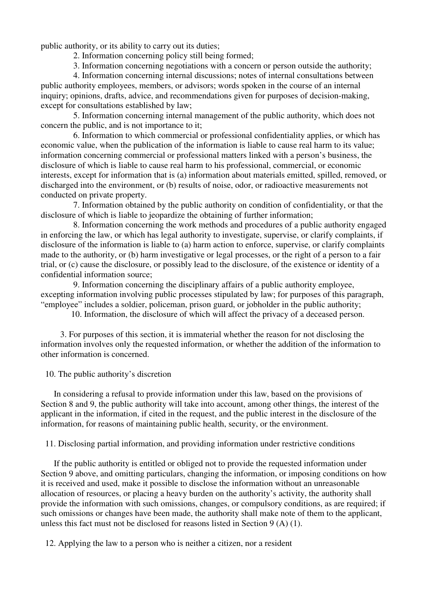public authority, or its ability to carry out its duties;

2. Information concerning policy still being formed;

3. Information concerning negotiations with a concern or person outside the authority;

 4. Information concerning internal discussions; notes of internal consultations between public authority employees, members, or advisors; words spoken in the course of an internal inquiry; opinions, drafts, advice, and recommendations given for purposes of decision-making, except for consultations established by law;

 5. Information concerning internal management of the public authority, which does not concern the public, and is not importance to it;

 6. Information to which commercial or professional confidentiality applies, or which has economic value, when the publication of the information is liable to cause real harm to its value; information concerning commercial or professional matters linked with a person's business, the disclosure of which is liable to cause real harm to his professional, commercial, or economic interests, except for information that is (a) information about materials emitted, spilled, removed, or discharged into the environment, or (b) results of noise, odor, or radioactive measurements not conducted on private property.

 7. Information obtained by the public authority on condition of confidentiality, or that the disclosure of which is liable to jeopardize the obtaining of further information;

 8. Information concerning the work methods and procedures of a public authority engaged in enforcing the law, or which has legal authority to investigate, supervise, or clarify complaints, if disclosure of the information is liable to (a) harm action to enforce, supervise, or clarify complaints made to the authority, or (b) harm investigative or legal processes, or the right of a person to a fair trial, or (c) cause the disclosure, or possibly lead to the disclosure, of the existence or identity of a confidential information source;

 9. Information concerning the disciplinary affairs of a public authority employee, excepting information involving public processes stipulated by law; for purposes of this paragraph, "employee" includes a soldier, policeman, prison guard, or jobholder in the public authority;

10. Information, the disclosure of which will affect the privacy of a deceased person.

 3. For purposes of this section, it is immaterial whether the reason for not disclosing the information involves only the requested information, or whether the addition of the information to other information is concerned.

10. The public authority's discretion

 In considering a refusal to provide information under this law, based on the provisions of Section 8 and 9, the public authority will take into account, among other things, the interest of the applicant in the information, if cited in the request, and the public interest in the disclosure of the information, for reasons of maintaining public health, security, or the environment.

11. Disclosing partial information, and providing information under restrictive conditions

 If the public authority is entitled or obliged not to provide the requested information under Section 9 above, and omitting particulars, changing the information, or imposing conditions on how it is received and used, make it possible to disclose the information without an unreasonable allocation of resources, or placing a heavy burden on the authority's activity, the authority shall provide the information with such omissions, changes, or compulsory conditions, as are required; if such omissions or changes have been made, the authority shall make note of them to the applicant, unless this fact must not be disclosed for reasons listed in Section 9 (A) (1).

12. Applying the law to a person who is neither a citizen, nor a resident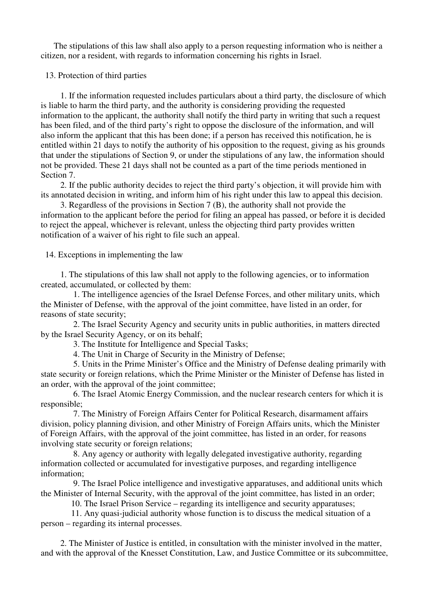The stipulations of this law shall also apply to a person requesting information who is neither a citizen, nor a resident, with regards to information concerning his rights in Israel.

13. Protection of third parties

 1. If the information requested includes particulars about a third party, the disclosure of which is liable to harm the third party, and the authority is considering providing the requested information to the applicant, the authority shall notify the third party in writing that such a request has been filed, and of the third party's right to oppose the disclosure of the information, and will also inform the applicant that this has been done; if a person has received this notification, he is entitled within 21 days to notify the authority of his opposition to the request, giving as his grounds that under the stipulations of Section 9, or under the stipulations of any law, the information should not be provided. These 21 days shall not be counted as a part of the time periods mentioned in Section 7.

 2. If the public authority decides to reject the third party's objection, it will provide him with its annotated decision in writing, and inform him of his right under this law to appeal this decision.

 3. Regardless of the provisions in Section 7 (B), the authority shall not provide the information to the applicant before the period for filing an appeal has passed, or before it is decided to reject the appeal, whichever is relevant, unless the objecting third party provides written notification of a waiver of his right to file such an appeal.

14. Exceptions in implementing the law

 1. The stipulations of this law shall not apply to the following agencies, or to information created, accumulated, or collected by them:

 1. The intelligence agencies of the Israel Defense Forces, and other military units, which the Minister of Defense, with the approval of the joint committee, have listed in an order, for reasons of state security;

 2. The Israel Security Agency and security units in public authorities, in matters directed by the Israel Security Agency, or on its behalf;

3. The Institute for Intelligence and Special Tasks;

4. The Unit in Charge of Security in the Ministry of Defense;

 5. Units in the Prime Minister's Office and the Ministry of Defense dealing primarily with state security or foreign relations, which the Prime Minister or the Minister of Defense has listed in an order, with the approval of the joint committee;

 6. The Israel Atomic Energy Commission, and the nuclear research centers for which it is responsible;

 7. The Ministry of Foreign Affairs Center for Political Research, disarmament affairs division, policy planning division, and other Ministry of Foreign Affairs units, which the Minister of Foreign Affairs, with the approval of the joint committee, has listed in an order, for reasons involving state security or foreign relations;

 8. Any agency or authority with legally delegated investigative authority, regarding information collected or accumulated for investigative purposes, and regarding intelligence information;

 9. The Israel Police intelligence and investigative apparatuses, and additional units which the Minister of Internal Security, with the approval of the joint committee, has listed in an order;

10. The Israel Prison Service – regarding its intelligence and security apparatuses;

 11. Any quasi-judicial authority whose function is to discuss the medical situation of a person – regarding its internal processes.

 2. The Minister of Justice is entitled, in consultation with the minister involved in the matter, and with the approval of the Knesset Constitution, Law, and Justice Committee or its subcommittee,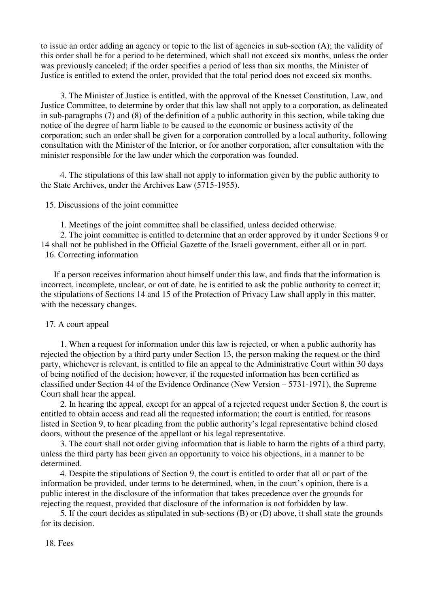to issue an order adding an agency or topic to the list of agencies in sub-section (A); the validity of this order shall be for a period to be determined, which shall not exceed six months, unless the order was previously canceled; if the order specifies a period of less than six months, the Minister of Justice is entitled to extend the order, provided that the total period does not exceed six months.

 3. The Minister of Justice is entitled, with the approval of the Knesset Constitution, Law, and Justice Committee, to determine by order that this law shall not apply to a corporation, as delineated in sub-paragraphs (7) and (8) of the definition of a public authority in this section, while taking due notice of the degree of harm liable to be caused to the economic or business activity of the corporation; such an order shall be given for a corporation controlled by a local authority, following consultation with the Minister of the Interior, or for another corporation, after consultation with the minister responsible for the law under which the corporation was founded.

 4. The stipulations of this law shall not apply to information given by the public authority to the State Archives, under the Archives Law (5715-1955).

15. Discussions of the joint committee

1. Meetings of the joint committee shall be classified, unless decided otherwise.

 2. The joint committee is entitled to determine that an order approved by it under Sections 9 or 14 shall not be published in the Official Gazette of the Israeli government, either all or in part. 16. Correcting information

 If a person receives information about himself under this law, and finds that the information is incorrect, incomplete, unclear, or out of date, he is entitled to ask the public authority to correct it; the stipulations of Sections 14 and 15 of the Protection of Privacy Law shall apply in this matter, with the necessary changes.

## 17. A court appeal

 1. When a request for information under this law is rejected, or when a public authority has rejected the objection by a third party under Section 13, the person making the request or the third party, whichever is relevant, is entitled to file an appeal to the Administrative Court within 30 days of being notified of the decision; however, if the requested information has been certified as classified under Section 44 of the Evidence Ordinance (New Version – 5731-1971), the Supreme Court shall hear the appeal.

 2. In hearing the appeal, except for an appeal of a rejected request under Section 8, the court is entitled to obtain access and read all the requested information; the court is entitled, for reasons listed in Section 9, to hear pleading from the public authority's legal representative behind closed doors, without the presence of the appellant or his legal representative.

 3. The court shall not order giving information that is liable to harm the rights of a third party, unless the third party has been given an opportunity to voice his objections, in a manner to be determined.

 4. Despite the stipulations of Section 9, the court is entitled to order that all or part of the information be provided, under terms to be determined, when, in the court's opinion, there is a public interest in the disclosure of the information that takes precedence over the grounds for rejecting the request, provided that disclosure of the information is not forbidden by law.

 5. If the court decides as stipulated in sub-sections (B) or (D) above, it shall state the grounds for its decision.

18. Fees